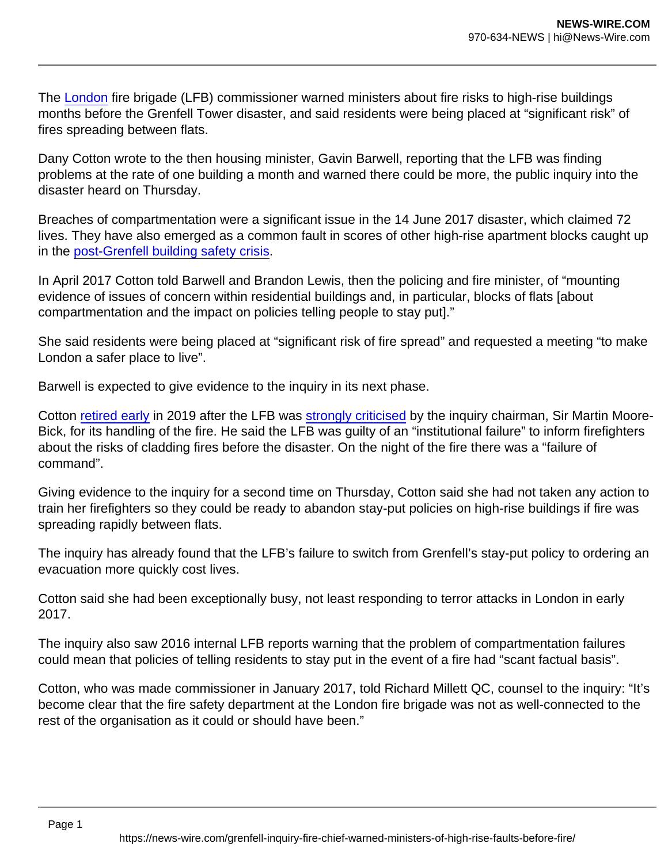The [London](https://www.theguardian.com/uk/london) fire brigade (LFB) commissioner warned ministers about fire risks to high-rise buildings months before the Grenfell Tower disaster, and said residents were being placed at "significant risk" of fires spreading between flats.

Dany Cotton wrote to the then housing minister, Gavin Barwell, reporting that the LFB was finding problems at the rate of one building a month and warned there could be more, the public inquiry into the disaster heard on Thursday.

Breaches of compartmentation were a significant issue in the 14 June 2017 disaster, which claimed 72 lives. They have also emerged as a common fault in scores of other high-rise apartment blocks caught up in the [post-Grenfell building safety crisis](https://www.theguardian.com/society/2021/oct/03/i-live-in-a-flammable-box-cladding-scandal-threatens-to-overshadow-johnsons-levelling-up-agenda).

In April 2017 Cotton told Barwell and Brandon Lewis, then the policing and fire minister, of "mounting evidence of issues of concern within residential buildings and, in particular, blocks of flats [about compartmentation and the impact on policies telling people to stay put]."

She said residents were being placed at "significant risk of fire spread" and requested a meeting "to make London a safer place to live".

Barwell is expected to give evidence to the inquiry in its next phase.

Cotton [retired early](https://www.theguardian.com/uk-news/2019/dec/06/london-fire-chief-dany-cotton-resigns-after-grenfell-criticism) in 2019 after the LFB was [strongly criticised](https://www.theguardian.com/uk-news/2019/oct/28/grenfell-inquiry-finds-fire-brigade-gravely-ill-prepared-for-blaze) by the inquiry chairman, Sir Martin Moore-Bick, for its handling of the fire. He said the LFB was guilty of an "institutional failure" to inform firefighters about the risks of cladding fires before the disaster. On the night of the fire there was a "failure of command".

Giving evidence to the inquiry for a second time on Thursday, Cotton said she had not taken any action to train her firefighters so they could be ready to abandon stay-put policies on high-rise buildings if fire was spreading rapidly between flats.

The inquiry has already found that the LFB's failure to switch from Grenfell's stay-put policy to ordering an evacuation more quickly cost lives.

Cotton said she had been exceptionally busy, not least responding to terror attacks in London in early 2017.

The inquiry also saw 2016 internal LFB reports warning that the problem of compartmentation failures could mean that policies of telling residents to stay put in the event of a fire had "scant factual basis".

Cotton, who was made commissioner in January 2017, told Richard Millett QC, counsel to the inquiry: "It's become clear that the fire safety department at the London fire brigade was not as well-connected to the rest of the organisation as it could or should have been."